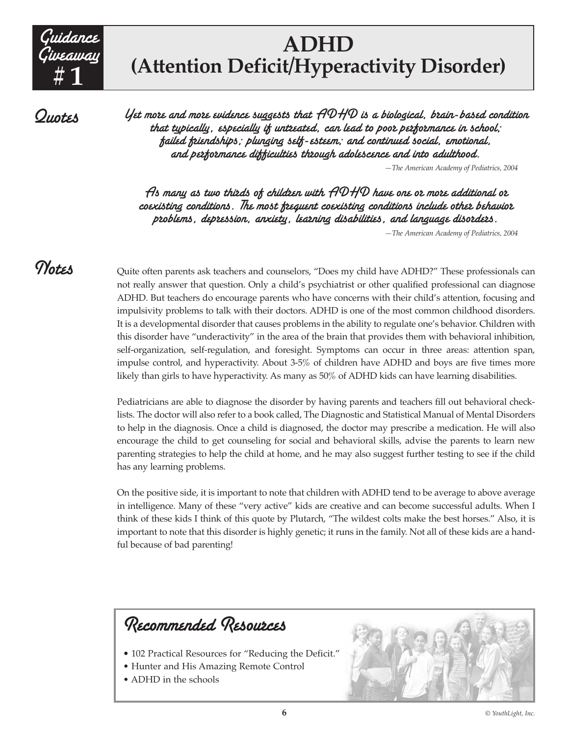

## **ADHD (Attention Deficit/Hyperactivity Disorder)**

**Quotes** 

Yet more and more evidence suggests that  $\mathcal{HDHD}$  is a biological, brain-based condition that typically, especially if untreated, can lead to poor performance in school; failed friendships; plunging self-esteem; and continued social, emotional, and performance difficulties through adolescence and into adulthood.

*—The American Academy of Pediatrics, 2004*

 $\bm{\mathit{A}}$ s many as two thizds of children with  $\bm{\mathit{ADHD}}$  have one or more additional or coexisting conditions. The most frequent coexisting conditions include other behavior problems, depression, anxiety, learning disabilities, and language disorders.

*—The American Academy of Pediatrics, 2004*

Notes

Quite often parents ask teachers and counselors, "Does my child have ADHD?" These professionals can not really answer that question. Only a child's psychiatrist or other qualified professional can diagnose ADHD. But teachers do encourage parents who have concerns with their child's attention, focusing and impulsivity problems to talk with their doctors. ADHD is one of the most common childhood disorders. It is a developmental disorder that causes problems in the ability to regulate one's behavior. Children with this disorder have "underactivity" in the area of the brain that provides them with behavioral inhibition, self-organization, self-regulation, and foresight. Symptoms can occur in three areas: attention span, impulse control, and hyperactivity. About 3-5% of children have ADHD and boys are five times more likely than girls to have hyperactivity. As many as 50% of ADHD kids can have learning disabilities.

Pediatricians are able to diagnose the disorder by having parents and teachers fill out behavioral checklists. The doctor will also refer to a book called, The Diagnostic and Statistical Manual of Mental Disorders to help in the diagnosis. Once a child is diagnosed, the doctor may prescribe a medication. He will also encourage the child to get counseling for social and behavioral skills, advise the parents to learn new parenting strategies to help the child at home, and he may also suggest further testing to see if the child has any learning problems.

On the positive side, it is important to note that children with ADHD tend to be average to above average in intelligence. Many of these "very active" kids are creative and can become successful adults. When I think of these kids I think of this quote by Plutarch, "The wildest colts make the best horses." Also, it is important to note that this disorder is highly genetic; it runs in the family. Not all of these kids are a handful because of bad parenting!



- 102 Practical Resources for "Reducing the Deficit."
- Hunter and His Amazing Remote Control
- ADHD in the schools